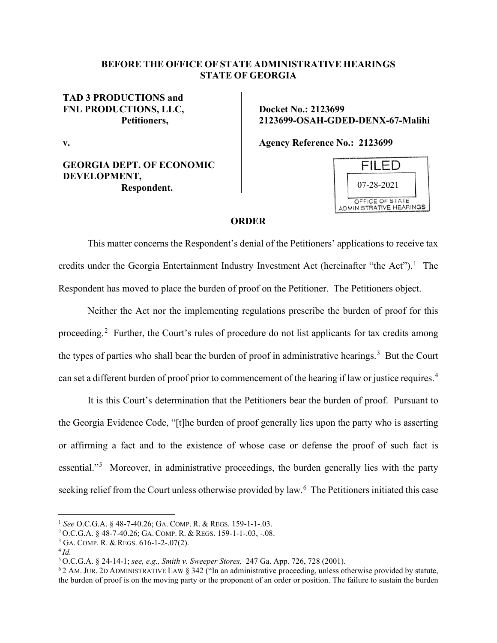## **BEFORE THE OFFICE OF STATE ADMINISTRATIVE HEARINGS STATE OF GEORGIA**

## **TAD 3 PRODUCTIONS and FNL PRODUCTIONS, LLC, Petitioners,**

**v.**

## **GEORGIA DEPT. OF ECONOMIC DEVELOPMENT, Respondent.**

**Docket No.: 2123699 2123699-OSAH-GDED-DENX-67-Malihi**

**Agency Reference No.: 2123699**



## **ORDER**

This matter concerns the Respondent's denial of the Petitioners' applications to receive tax credits under the Georgia Entertainment Industry Investment Act (hereinafter "the Act").<sup>[1](#page-0-0)</sup> The Respondent has moved to place the burden of proof on the Petitioner. The Petitioners object.

Neither the Act nor the implementing regulations prescribe the burden of proof for this proceeding.<sup>[2](#page-0-1)</sup> Further, the Court's rules of procedure do not list applicants for tax credits among the types of parties who shall bear the burden of proof in administrative hearings.<sup>[3](#page-0-2)</sup> But the Court can set a different burden of proof prior to commencement of the hearing if law or justice requires.<sup>[4](#page-0-3)</sup>

It is this Court's determination that the Petitioners bear the burden of proof. Pursuant to the Georgia Evidence Code, "[t]he burden of proof generally lies upon the party who is asserting or affirming a fact and to the existence of whose case or defense the proof of such fact is essential."<sup>[5](#page-0-4)</sup> Moreover, in administrative proceedings, the burden generally lies with the party seeking relief from the Court unless otherwise provided by law. [6](#page-0-5) The Petitioners initiated this case

<span id="page-0-0"></span><sup>1</sup> *See* O.C.G.A. § 48-7-40.26; GA. COMP. R. & REGS. 159-1-1-.03.

<span id="page-0-1"></span><sup>2</sup> O.C.G.A. § 48-7-40.26; GA. COMP. R. & REGS. 159-1-1-.03, -.08.

<span id="page-0-3"></span><span id="page-0-2"></span><sup>3</sup> GA. COMP. R. & REGS. 616-1-2-.07(2). 4 *Id.*

<span id="page-0-4"></span><sup>5</sup> O.C.G.A. § 24-14-1; *see, e.g., Smith v. Sweeper Stores,* 247 Ga. App. 726, 728 (2001).

<span id="page-0-5"></span><sup>6</sup> 2 AM. JUR. 2D ADMINISTRATIVE LAW § 342 ("In an administrative proceeding, unless otherwise provided by statute, the burden of proof is on the moving party or the proponent of an order or position. The failure to sustain the burden